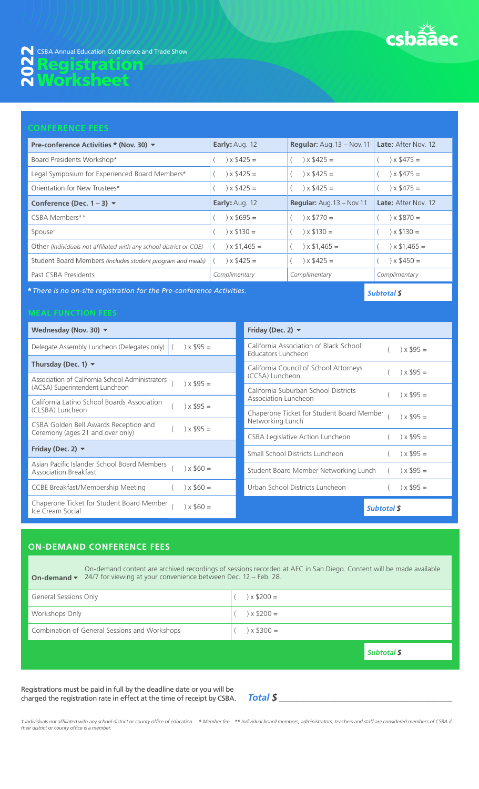

| Pre-conference Activities ★ (Nov. 30) ▼                            | Early: Aug. 12   | <b>Regular:</b> Aug. 13 - Nov. 11 Late: After Nov. 12 |                     |
|--------------------------------------------------------------------|------------------|-------------------------------------------------------|---------------------|
| Board Presidents Workshop*                                         | $x $425 =$       | $\chi$ \$425 =                                        | $\chi$ \$475 =      |
| Legal Symposium for Experienced Board Members*                     | $\chi$ \$425 =   | $\chi$ \$425 =                                        | $\chi$ \$475 =      |
| Orientation for New Trustees*                                      | $\chi$ \$425 =   | $\chi$ \$425 =                                        | $\chi$ \$475 =      |
| Conference (Dec. $1 - 3$ ) $\blacktriangledown$                    | Early: Aug. 12   | <b>Regular:</b> Aug. $13 - Nov. 11$                   | Late: After Nov. 12 |
| CSBA Members**                                                     | $\chi$ \$695 =   | $\chi$ \$770 =                                        | $\chi$ \$870 =      |
| Spouse <sup>+</sup>                                                | $\chi$ \$130 =   | $\times$ \$130 =                                      | $x $130 =$          |
| Other (Individuals not affiliated with any school district or COE) | $\chi$ \$1.465 = | $\chi$ \$1,465 =                                      | $\chi$ \$1,465 =    |
| Student Board Members (Includes student program and meals)         | $\chi$ \$425 =   | $\chi$ \$425 =                                        | $\chi$ \$450 =      |
| Past CSBA Presidents                                               | Complimentary    | Complimentary                                         | Complimentary       |

*There is no on-site registration for the Pre-conference Activities.*

| Wednesday (Nov. 30) $\blacktriangledown$                                                     | Friday (Dec. 2) $\blacktriangledown$                                           |
|----------------------------------------------------------------------------------------------|--------------------------------------------------------------------------------|
| Delegate Assembly Luncheon (Delegates only) $($ $) \times$ \$95 =                            | California Association of Black School<br>$\chi$ \$95 =<br>Educators Luncheon  |
| Thursday (Dec. 1) $\blacktriangledown$                                                       | California Council of School Attorneys                                         |
| Association of California School Administrators<br>$\chi$ \$95 =                             | $\chi$ \$95 =<br>(CCSA) Luncheon                                               |
| (ACSA) Superintendent Luncheon                                                               | California Suburban School Districts<br>$\chi$ \$95 =                          |
| California Latino School Boards Association<br>$\chi$ \$95 =                                 | Association Luncheon                                                           |
| (CLSBA) Luncheon                                                                             | Chaperone Ticket for Student Board Member<br>$\chi$ \$95 =<br>Networking Lunch |
| CSBA Golden Bell Awards Reception and<br>$\chi$ \$95 =<br>Ceremony (ages 21 and over only)   |                                                                                |
|                                                                                              | CSBA Legislative Action Luncheon<br>$\chi$ \$95 =                              |
| Friday (Dec. 2) $\blacktriangledown$                                                         | Small School Districts Luncheon<br>$\chi$ \$95 =                               |
| Asian Pacific Islander School Board Members<br>$\chi$ \$60 =<br><b>Association Breakfast</b> | Student Board Member Networking Lunch<br>$\chi$ \$95 =                         |
| $\chi$ \$60 =<br>CCBE Breakfast/Membership Meeting                                           | Urban School Districts Luncheon<br>$\chi$ \$95 =                               |
| Chaperone Ticket for Student Board Member<br>$\chi$ \$60 =<br>Ice Cream Social               | <b>Subtotal \$</b>                                                             |

# **ON-DEMAND CONFERENCE FEES**

**On-demand**  On-demand content are archived recordings of sessions recorded at AEC in San Diego. Content will be made available 24/7 for viewing at your convenience between Dec. 12 – Feb. 28.

| <b>General Sessions Only</b>                  | $\chi$ \$200 = |
|-----------------------------------------------|----------------|
| Workshops Only                                | $\chi$ \$200 = |
| Combination of General Sessions and Workshops | $\chi$ \$300 = |
|                                               |                |

*Subtotal \$*

*Subtotal \$*

Registrations must be paid in full by the deadline date or you will be charged the registration rate in effect at the time of receipt by CSBA. *Total \$* \_\_\_\_\_\_\_\_\_\_\_\_\_\_\_\_\_\_\_\_\_\_\_\_\_\_\_\_\_\_\_\_\_\_\_\_\_\_\_\_\_\_\_\_\_\_\_\_\_\_\_\_\_\_\_\_

t Individuals not affiliated with any school district or county office of education. \* Member fee \*\* Individual board members, administrators, teachers and staff are considered members of CSBA if *their district or county office is a member.*